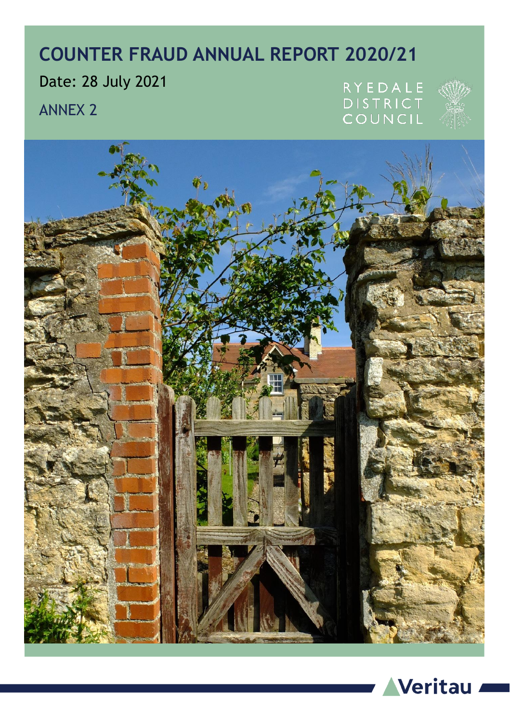# **COUNTER FRAUD ANNUAL REPORT 2020/21**

Date: 28 July 2021

ANNEX 2

RYEDALE **DISTRICT** COUNCIL





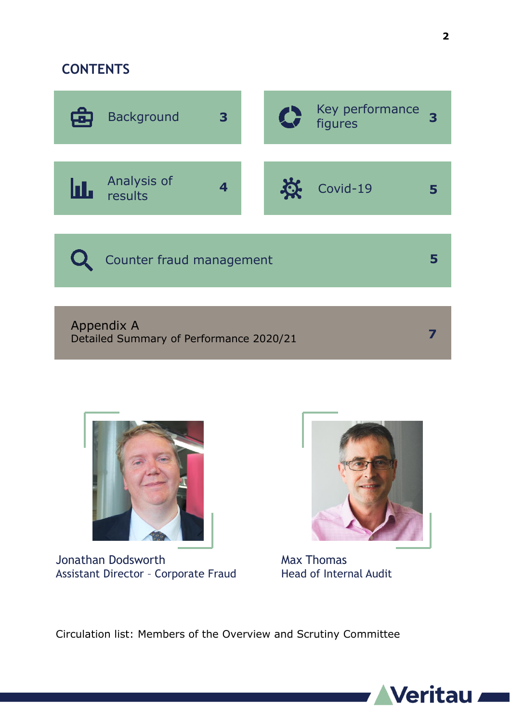### **CONTENTS**





Jonathan Dodsworth Assistant Director – Corporate Fraud



Max Thomas Head of Internal Audit

Circulation list: Members of the Overview and Scrutiny Committee

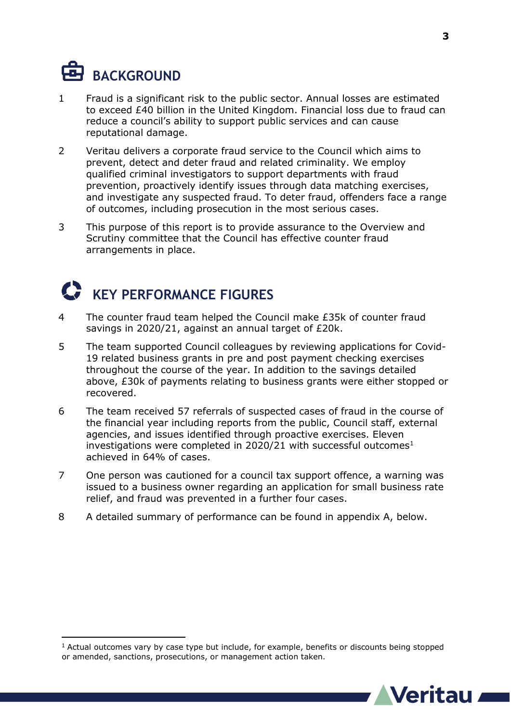

 $\overline{a}$ 

- 1 Fraud is a significant risk to the public sector. Annual losses are estimated to exceed £40 billion in the United Kingdom. Financial loss due to fraud can reduce a council's ability to support public services and can cause reputational damage.
- 2 Veritau delivers a corporate fraud service to the Council which aims to prevent, detect and deter fraud and related criminality. We employ qualified criminal investigators to support departments with fraud prevention, proactively identify issues through data matching exercises, and investigate any suspected fraud. To deter fraud, offenders face a range of outcomes, including prosecution in the most serious cases.
- 3 This purpose of this report is to provide assurance to the Overview and Scrutiny committee that the Council has effective counter fraud arrangements in place.

## **KEY PERFORMANCE FIGURES**

- 4 The counter fraud team helped the Council make £35k of counter fraud savings in 2020/21, against an annual target of £20k.
- 5 The team supported Council colleagues by reviewing applications for Covid-19 related business grants in pre and post payment checking exercises throughout the course of the year. In addition to the savings detailed above, £30k of payments relating to business grants were either stopped or recovered.
- 6 The team received 57 referrals of suspected cases of fraud in the course of the financial year including reports from the public, Council staff, external agencies, and issues identified through proactive exercises. Eleven investigations were completed in 2020/21 with successful outcomes $<sup>1</sup>$ </sup> achieved in 64% of cases.
- 7 One person was cautioned for a council tax support offence, a warning was issued to a business owner regarding an application for small business rate relief, and fraud was prevented in a further four cases.
- 8 A detailed summary of performance can be found in appendix A, below.

<sup>1</sup> Actual outcomes vary by case type but include, for example, benefits or discounts being stopped or amended, sanctions, prosecutions, or management action taken.

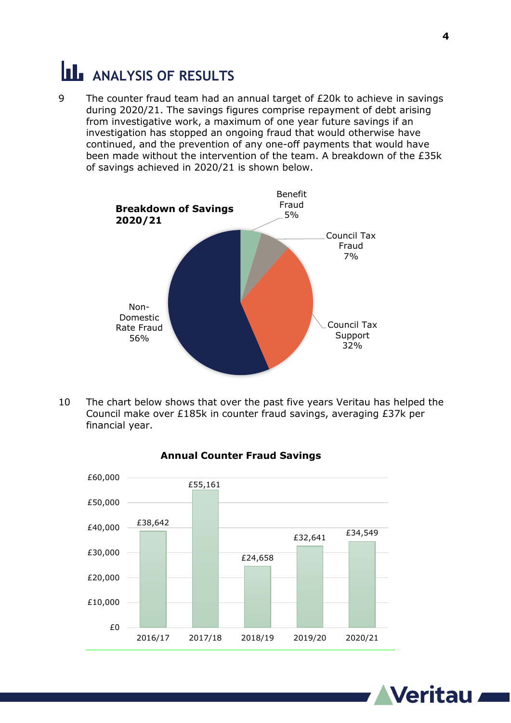# **ANALYSIS OF RESULTS**

9 The counter fraud team had an annual target of £20k to achieve in savings during 2020/21. The savings figures comprise repayment of debt arising from investigative work, a maximum of one year future savings if an investigation has stopped an ongoing fraud that would otherwise have continued, and the prevention of any one-off payments that would have been made without the intervention of the team. A breakdown of the £35k of savings achieved in 2020/21 is shown below.



10 The chart below shows that over the past five years Veritau has helped the Council make over £185k in counter fraud savings, averaging £37k per financial year.



#### **Annual Counter Fraud Savings**

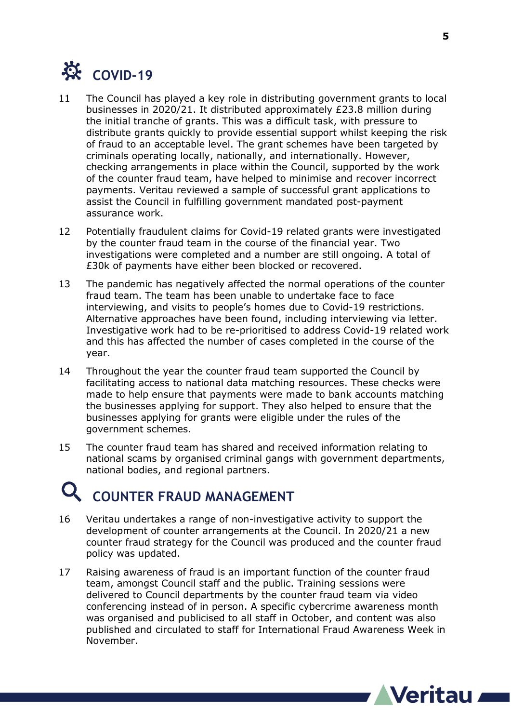

- 11 The Council has played a key role in distributing government grants to local businesses in 2020/21. It distributed approximately £23.8 million during the initial tranche of grants. This was a difficult task, with pressure to distribute grants quickly to provide essential support whilst keeping the risk of fraud to an acceptable level. The grant schemes have been targeted by criminals operating locally, nationally, and internationally. However, checking arrangements in place within the Council, supported by the work of the counter fraud team, have helped to minimise and recover incorrect payments. Veritau reviewed a sample of successful grant applications to assist the Council in fulfilling government mandated post-payment assurance work.
- 12 Potentially fraudulent claims for Covid-19 related grants were investigated by the counter fraud team in the course of the financial year. Two investigations were completed and a number are still ongoing. A total of £30k of payments have either been blocked or recovered.
- 13 The pandemic has negatively affected the normal operations of the counter fraud team. The team has been unable to undertake face to face interviewing, and visits to people's homes due to Covid-19 restrictions. Alternative approaches have been found, including interviewing via letter. Investigative work had to be re-prioritised to address Covid-19 related work and this has affected the number of cases completed in the course of the year.
- 14 Throughout the year the counter fraud team supported the Council by facilitating access to national data matching resources. These checks were made to help ensure that payments were made to bank accounts matching the businesses applying for support. They also helped to ensure that the businesses applying for grants were eligible under the rules of the government schemes.
- 15 The counter fraud team has shared and received information relating to national scams by organised criminal gangs with government departments, national bodies, and regional partners.

## **COUNTER FRAUD MANAGEMENT**

- 16 Veritau undertakes a range of non-investigative activity to support the development of counter arrangements at the Council. In 2020/21 a new counter fraud strategy for the Council was produced and the counter fraud policy was updated.
- 17 Raising awareness of fraud is an important function of the counter fraud team, amongst Council staff and the public. Training sessions were delivered to Council departments by the counter fraud team via video conferencing instead of in person. A specific cybercrime awareness month was organised and publicised to all staff in October, and content was also published and circulated to staff for International Fraud Awareness Week in November.

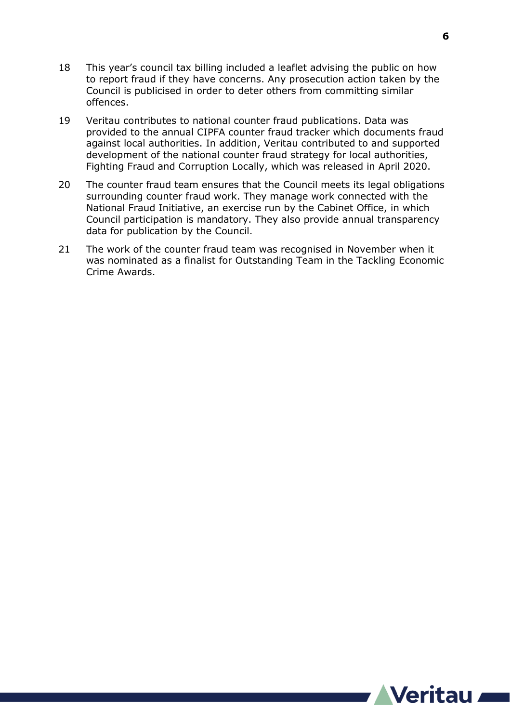- 18 This year's council tax billing included a leaflet advising the public on how to report fraud if they have concerns. Any prosecution action taken by the Council is publicised in order to deter others from committing similar offences.
- 19 Veritau contributes to national counter fraud publications. Data was provided to the annual CIPFA counter fraud tracker which documents fraud against local authorities. In addition, Veritau contributed to and supported development of the national counter fraud strategy for local authorities, Fighting Fraud and Corruption Locally, which was released in April 2020.
- 20 The counter fraud team ensures that the Council meets its legal obligations surrounding counter fraud work. They manage work connected with the National Fraud Initiative, an exercise run by the Cabinet Office, in which Council participation is mandatory. They also provide annual transparency data for publication by the Council.
- 21 The work of the counter fraud team was recognised in November when it was nominated as a finalist for Outstanding Team in the Tackling Economic Crime Awards.

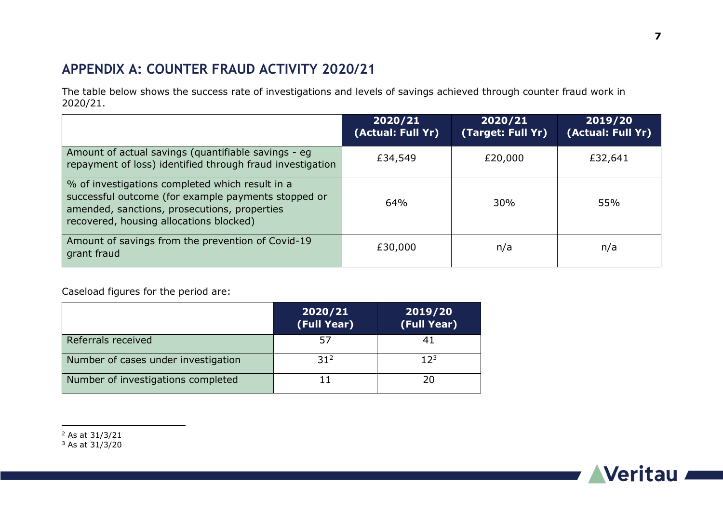## **APPENDIX A: COUNTER FRAUD ACTIVITY 2020/21**

The table below shows the success rate of investigations and levels of savings achieved through counter fraud work in 2020/21.

|                                                                                                                                                                                                   | 2020/21<br>(Actual: Full Yr) | 2020/21<br>(Target: Full Yr) | 2019/20<br>(Actual: Full Yr) |
|---------------------------------------------------------------------------------------------------------------------------------------------------------------------------------------------------|------------------------------|------------------------------|------------------------------|
| Amount of actual savings (quantifiable savings - eg<br>repayment of loss) identified through fraud investigation                                                                                  | £34,549                      | £20,000                      | £32,641                      |
| % of investigations completed which result in a<br>successful outcome (for example payments stopped or<br>amended, sanctions, prosecutions, properties<br>recovered, housing allocations blocked) | 64%                          | 30%                          | 55%                          |
| Amount of savings from the prevention of Covid-19<br>grant fraud                                                                                                                                  | £30,000                      | n/a                          | n/a                          |

Caseload figures for the period are:

|                                     | 2020/21<br>(Full Year) | 2019/20<br>(Full Year) |
|-------------------------------------|------------------------|------------------------|
| Referrals received                  | 57                     | 41                     |
| Number of cases under investigation | 31 <sup>2</sup>        | $12^{3}$               |
| Number of investigations completed  |                        | 20                     |



 $\overline{a}$ <sup>2</sup> As at 31/3/21

 $3$  As at  $31/3/20$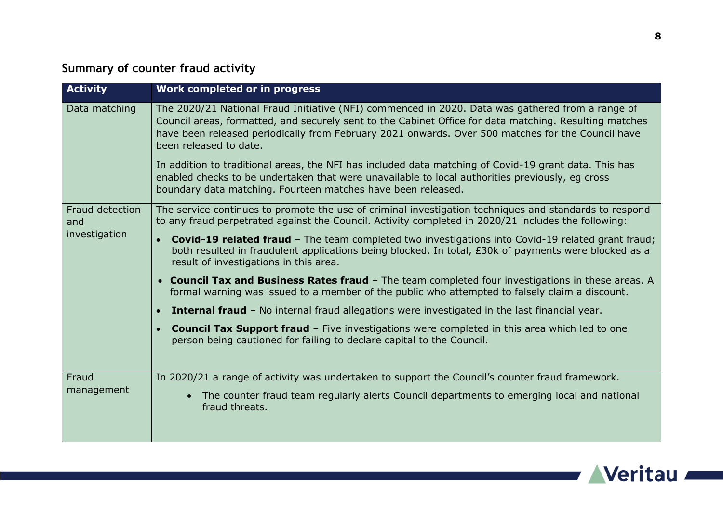### **Summary of counter fraud activity**

| <b>Activity</b>                         | Work completed or in progress                                                                                                                                                                                                                                                                                                                                                                                                                                                                                                                         |
|-----------------------------------------|-------------------------------------------------------------------------------------------------------------------------------------------------------------------------------------------------------------------------------------------------------------------------------------------------------------------------------------------------------------------------------------------------------------------------------------------------------------------------------------------------------------------------------------------------------|
| Data matching                           | The 2020/21 National Fraud Initiative (NFI) commenced in 2020. Data was gathered from a range of<br>Council areas, formatted, and securely sent to the Cabinet Office for data matching. Resulting matches<br>have been released periodically from February 2021 onwards. Over 500 matches for the Council have<br>been released to date.<br>In addition to traditional areas, the NFI has included data matching of Covid-19 grant data. This has<br>enabled checks to be undertaken that were unavailable to local authorities previously, eg cross |
|                                         | boundary data matching. Fourteen matches have been released.                                                                                                                                                                                                                                                                                                                                                                                                                                                                                          |
| Fraud detection<br>and<br>investigation | The service continues to promote the use of criminal investigation techniques and standards to respond<br>to any fraud perpetrated against the Council. Activity completed in 2020/21 includes the following:                                                                                                                                                                                                                                                                                                                                         |
|                                         | <b>Covid-19 related fraud</b> - The team completed two investigations into Covid-19 related grant fraud;<br>$\bullet$<br>both resulted in fraudulent applications being blocked. In total, £30k of payments were blocked as a<br>result of investigations in this area.                                                                                                                                                                                                                                                                               |
|                                         | <b>Council Tax and Business Rates fraud</b> - The team completed four investigations in these areas. A<br>$\bullet$<br>formal warning was issued to a member of the public who attempted to falsely claim a discount.                                                                                                                                                                                                                                                                                                                                 |
|                                         | <b>Internal fraud</b> - No internal fraud allegations were investigated in the last financial year.                                                                                                                                                                                                                                                                                                                                                                                                                                                   |
|                                         | <b>Council Tax Support fraud</b> - Five investigations were completed in this area which led to one<br>person being cautioned for failing to declare capital to the Council.                                                                                                                                                                                                                                                                                                                                                                          |
| Fraud<br>management                     | In 2020/21 a range of activity was undertaken to support the Council's counter fraud framework.                                                                                                                                                                                                                                                                                                                                                                                                                                                       |
|                                         | The counter fraud team regularly alerts Council departments to emerging local and national<br>fraud threats.                                                                                                                                                                                                                                                                                                                                                                                                                                          |